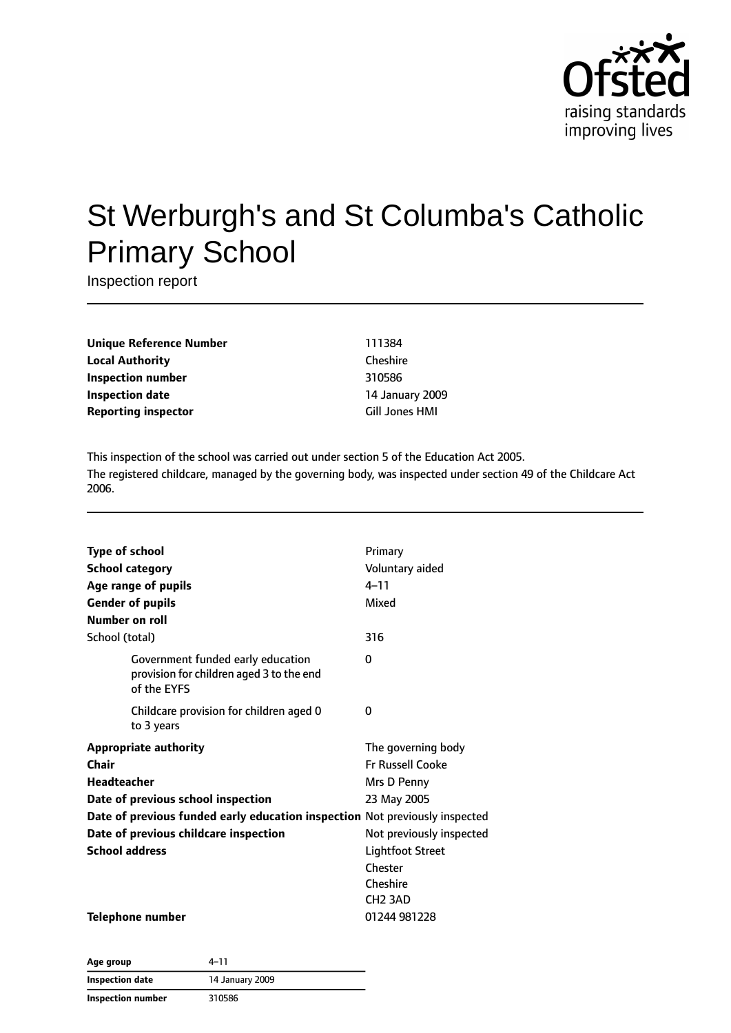

# St Werburgh's and St Columba's Catholic Primary School

Inspection report

**Unique Reference Number** 111384 **Local Authority** Cheshire **Inspection number** 310586 **Inspection date** 14 January 2009 **Reporting inspector** Gill Jones HMI

This inspection of the school was carried out under section 5 of the Education Act 2005. The registered childcare, managed by the governing body, was inspected under section 49 of the Childcare Act 2006.

| <b>Type of school</b>                                                                        | Primary                  |
|----------------------------------------------------------------------------------------------|--------------------------|
| <b>School category</b>                                                                       | Voluntary aided          |
|                                                                                              | $4 - 11$                 |
| Age range of pupils                                                                          | Mixed                    |
| <b>Gender of pupils</b>                                                                      |                          |
| Number on roll                                                                               |                          |
| School (total)                                                                               | 316                      |
| Government funded early education<br>provision for children aged 3 to the end<br>of the EYFS | 0                        |
| Childcare provision for children aged 0<br>to 3 years                                        | 0                        |
| <b>Appropriate authority</b>                                                                 | The governing body       |
| Chair                                                                                        | <b>Fr Russell Cooke</b>  |
| Headteacher                                                                                  | Mrs D Penny              |
| Date of previous school inspection                                                           | 23 May 2005              |
| Date of previous funded early education inspection Not previously inspected                  |                          |
| Date of previous childcare inspection                                                        | Not previously inspected |
| <b>School address</b>                                                                        | <b>Lightfoot Street</b>  |
|                                                                                              | Chester                  |
|                                                                                              | Cheshire                 |
|                                                                                              | CH <sub>2</sub> 3AD      |
| <b>Telephone number</b>                                                                      | 01244 981228             |

**Age group** 4–11 **Inspection date** 14 January 2009 **Inspection number** 310586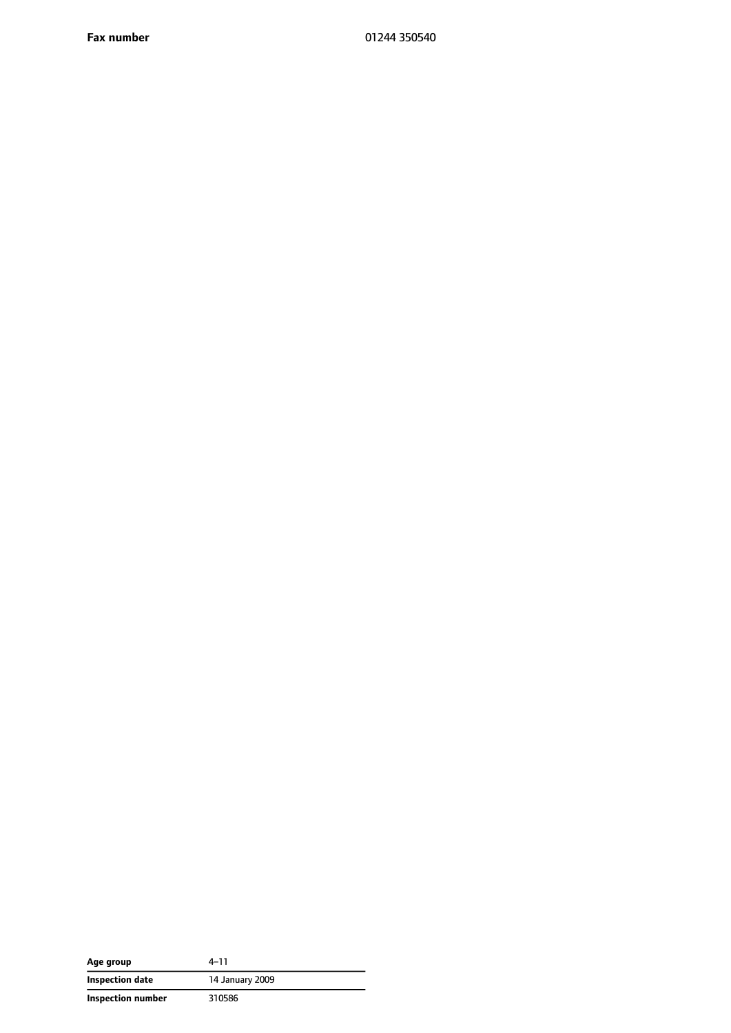**Fax number** 01244 350540

| Age group         | 4-11            |
|-------------------|-----------------|
| Inspection date   | 14 January 2009 |
| Inspection number | 310586          |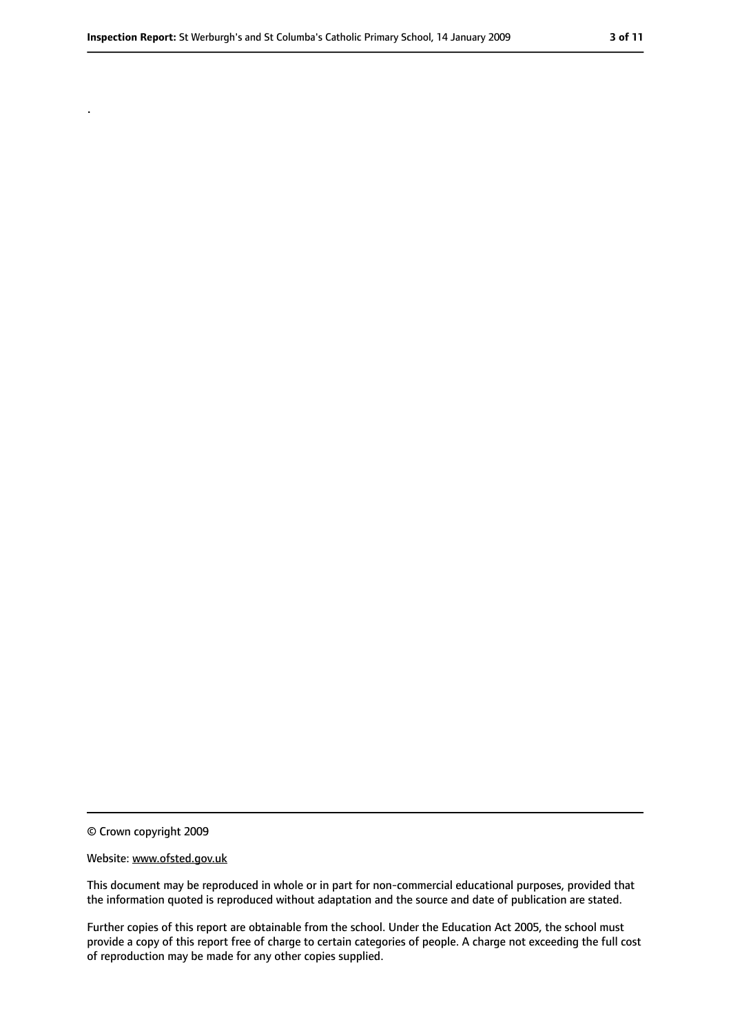.

<sup>©</sup> Crown copyright 2009

Website: www.ofsted.gov.uk

This document may be reproduced in whole or in part for non-commercial educational purposes, provided that the information quoted is reproduced without adaptation and the source and date of publication are stated.

Further copies of this report are obtainable from the school. Under the Education Act 2005, the school must provide a copy of this report free of charge to certain categories of people. A charge not exceeding the full cost of reproduction may be made for any other copies supplied.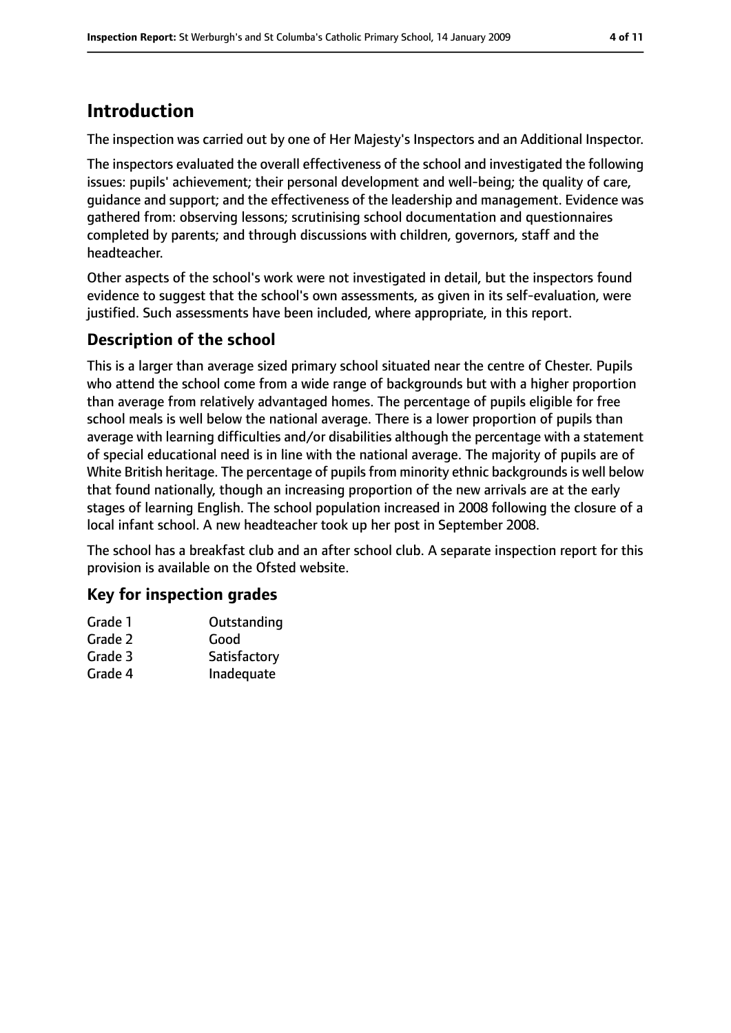## **Introduction**

The inspection was carried out by one of Her Majesty's Inspectors and an Additional Inspector.

The inspectors evaluated the overall effectiveness of the school and investigated the following issues: pupils' achievement; their personal development and well-being; the quality of care, guidance and support; and the effectiveness of the leadership and management. Evidence was gathered from: observing lessons; scrutinising school documentation and questionnaires completed by parents; and through discussions with children, governors, staff and the headteacher.

Other aspects of the school's work were not investigated in detail, but the inspectors found evidence to suggest that the school's own assessments, as given in its self-evaluation, were justified. Such assessments have been included, where appropriate, in this report.

## **Description of the school**

This is a larger than average sized primary school situated near the centre of Chester. Pupils who attend the school come from a wide range of backgrounds but with a higher proportion than average from relatively advantaged homes. The percentage of pupils eligible for free school meals is well below the national average. There is a lower proportion of pupils than average with learning difficulties and/or disabilities although the percentage with a statement of special educational need is in line with the national average. The majority of pupils are of White British heritage. The percentage of pupils from minority ethnic backgrounds is well below that found nationally, though an increasing proportion of the new arrivals are at the early stages of learning English. The school population increased in 2008 following the closure of a local infant school. A new headteacher took up her post in September 2008.

The school has a breakfast club and an after school club. A separate inspection report for this provision is available on the Ofsted website.

## **Key for inspection grades**

| Grade 1 | Outstanding  |
|---------|--------------|
| Grade 2 | Good         |
| Grade 3 | Satisfactory |
| Grade 4 | Inadequate   |
|         |              |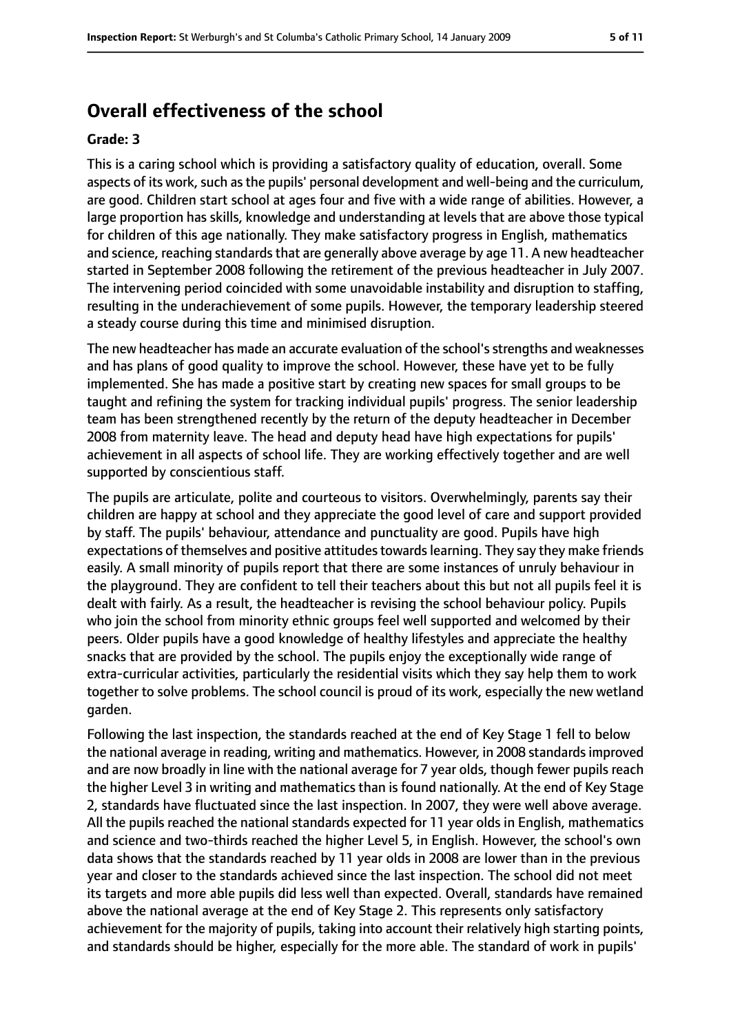## **Overall effectiveness of the school**

#### **Grade: 3**

This is a caring school which is providing a satisfactory quality of education, overall. Some aspects of its work, such as the pupils' personal development and well-being and the curriculum, are good. Children start school at ages four and five with a wide range of abilities. However, a large proportion has skills, knowledge and understanding at levels that are above those typical for children of this age nationally. They make satisfactory progress in English, mathematics and science, reaching standards that are generally above average by age 11. A new headteacher started in September 2008 following the retirement of the previous headteacher in July 2007. The intervening period coincided with some unavoidable instability and disruption to staffing, resulting in the underachievement of some pupils. However, the temporary leadership steered a steady course during this time and minimised disruption.

The new headteacher has made an accurate evaluation of the school's strengths and weaknesses and has plans of good quality to improve the school. However, these have yet to be fully implemented. She has made a positive start by creating new spaces for small groups to be taught and refining the system for tracking individual pupils' progress. The senior leadership team has been strengthened recently by the return of the deputy headteacher in December 2008 from maternity leave. The head and deputy head have high expectations for pupils' achievement in all aspects of school life. They are working effectively together and are well supported by conscientious staff.

The pupils are articulate, polite and courteous to visitors. Overwhelmingly, parents say their children are happy at school and they appreciate the good level of care and support provided by staff. The pupils' behaviour, attendance and punctuality are good. Pupils have high expectations of themselves and positive attitudes towards learning. They say they make friends easily. A small minority of pupils report that there are some instances of unruly behaviour in the playground. They are confident to tell their teachers about this but not all pupils feel it is dealt with fairly. As a result, the headteacher is revising the school behaviour policy. Pupils who join the school from minority ethnic groups feel well supported and welcomed by their peers. Older pupils have a good knowledge of healthy lifestyles and appreciate the healthy snacks that are provided by the school. The pupils enjoy the exceptionally wide range of extra-curricular activities, particularly the residential visits which they say help them to work together to solve problems. The school council is proud of its work, especially the new wetland garden.

Following the last inspection, the standards reached at the end of Key Stage 1 fell to below the national average in reading, writing and mathematics. However, in 2008 standardsimproved and are now broadly in line with the national average for 7 year olds, though fewer pupils reach the higher Level 3 in writing and mathematics than is found nationally. At the end of Key Stage 2, standards have fluctuated since the last inspection. In 2007, they were well above average. All the pupils reached the national standards expected for 11 year olds in English, mathematics and science and two-thirds reached the higher Level 5, in English. However, the school's own data shows that the standards reached by 11 year olds in 2008 are lower than in the previous year and closer to the standards achieved since the last inspection. The school did not meet its targets and more able pupils did less well than expected. Overall, standards have remained above the national average at the end of Key Stage 2. This represents only satisfactory achievement for the majority of pupils, taking into account their relatively high starting points, and standards should be higher, especially for the more able. The standard of work in pupils'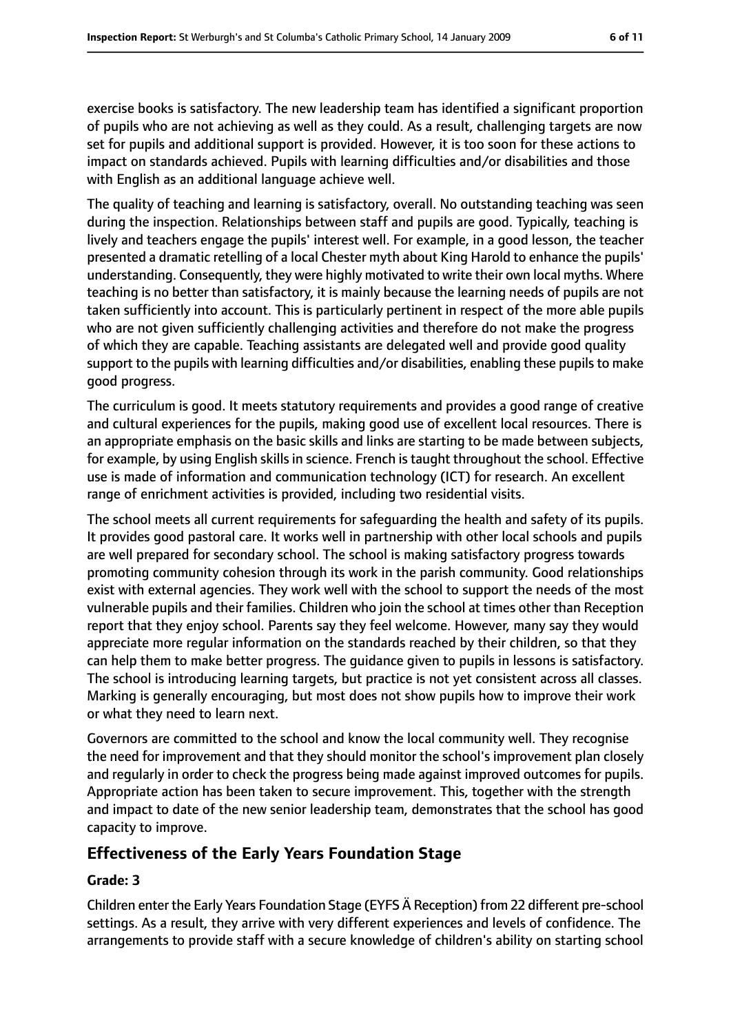exercise books is satisfactory. The new leadership team has identified a significant proportion of pupils who are not achieving as well as they could. As a result, challenging targets are now set for pupils and additional support is provided. However, it is too soon for these actions to impact on standards achieved. Pupils with learning difficulties and/or disabilities and those with English as an additional language achieve well.

The quality of teaching and learning is satisfactory, overall. No outstanding teaching was seen during the inspection. Relationships between staff and pupils are good. Typically, teaching is lively and teachers engage the pupils' interest well. For example, in a good lesson, the teacher presented a dramatic retelling of a local Chester myth about King Harold to enhance the pupils' understanding. Consequently, they were highly motivated to write their own local myths. Where teaching is no better than satisfactory, it is mainly because the learning needs of pupils are not taken sufficiently into account. This is particularly pertinent in respect of the more able pupils who are not given sufficiently challenging activities and therefore do not make the progress of which they are capable. Teaching assistants are delegated well and provide good quality support to the pupils with learning difficulties and/or disabilities, enabling these pupils to make good progress.

The curriculum is good. It meets statutory requirements and provides a good range of creative and cultural experiences for the pupils, making good use of excellent local resources. There is an appropriate emphasis on the basic skills and links are starting to be made between subjects, for example, by using English skills in science. French is taught throughout the school. Effective use is made of information and communication technology (ICT) for research. An excellent range of enrichment activities is provided, including two residential visits.

The school meets all current requirements for safeguarding the health and safety of its pupils. It provides good pastoral care. It works well in partnership with other local schools and pupils are well prepared for secondary school. The school is making satisfactory progress towards promoting community cohesion through its work in the parish community. Good relationships exist with external agencies. They work well with the school to support the needs of the most vulnerable pupils and their families. Children who join the school at times other than Reception report that they enjoy school. Parents say they feel welcome. However, many say they would appreciate more regular information on the standards reached by their children, so that they can help them to make better progress. The guidance given to pupils in lessons is satisfactory. The school is introducing learning targets, but practice is not yet consistent across all classes. Marking is generally encouraging, but most does not show pupils how to improve their work or what they need to learn next.

Governors are committed to the school and know the local community well. They recognise the need for improvement and that they should monitor the school's improvement plan closely and regularly in order to check the progress being made against improved outcomes for pupils. Appropriate action has been taken to secure improvement. This, together with the strength and impact to date of the new senior leadership team, demonstrates that the school has good capacity to improve.

## **Effectiveness of the Early Years Foundation Stage**

## **Grade: 3**

Children enter the Early Years Foundation Stage (EYFS Ä Reception) from 22 different pre-school settings. As a result, they arrive with very different experiences and levels of confidence. The arrangements to provide staff with a secure knowledge of children's ability on starting school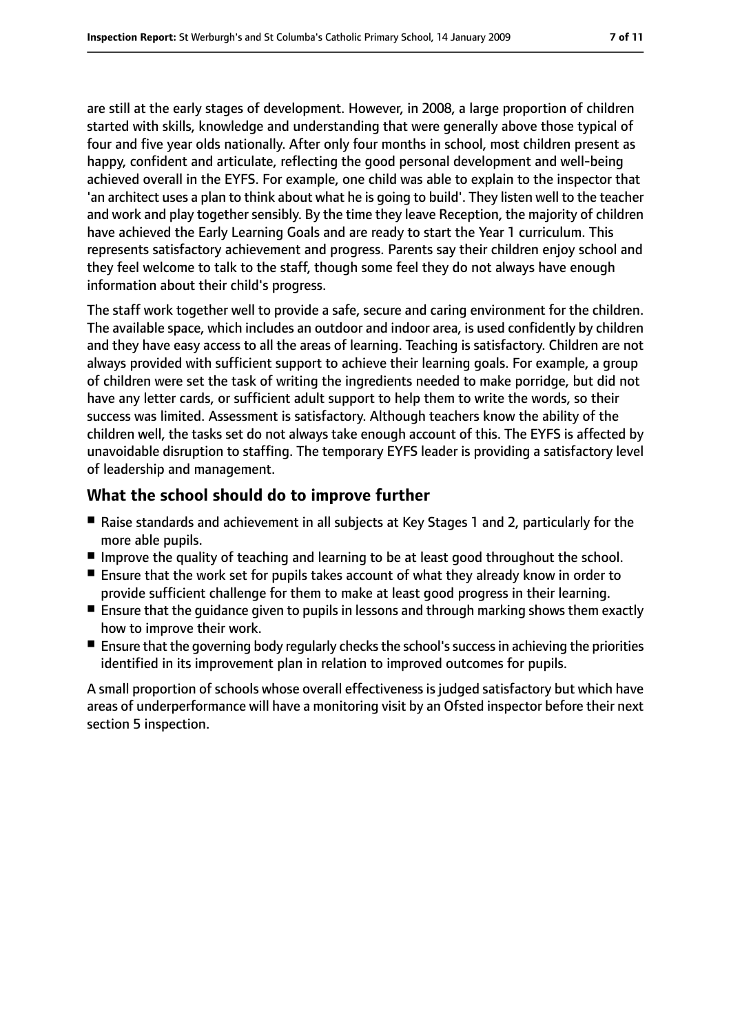are still at the early stages of development. However, in 2008, a large proportion of children started with skills, knowledge and understanding that were generally above those typical of four and five year olds nationally. After only four months in school, most children present as happy, confident and articulate, reflecting the good personal development and well-being achieved overall in the EYFS. For example, one child was able to explain to the inspector that 'an architect uses a plan to think about what he is going to build'. They listen well to the teacher and work and play together sensibly. By the time they leave Reception, the majority of children have achieved the Early Learning Goals and are ready to start the Year 1 curriculum. This represents satisfactory achievement and progress. Parents say their children enjoy school and they feel welcome to talk to the staff, though some feel they do not always have enough information about their child's progress.

The staff work together well to provide a safe, secure and caring environment for the children. The available space, which includes an outdoor and indoor area, is used confidently by children and they have easy access to all the areas of learning. Teaching is satisfactory. Children are not always provided with sufficient support to achieve their learning goals. For example, a group of children were set the task of writing the ingredients needed to make porridge, but did not have any letter cards, or sufficient adult support to help them to write the words, so their success was limited. Assessment is satisfactory. Although teachers know the ability of the children well, the tasks set do not always take enough account of this. The EYFS is affected by unavoidable disruption to staffing. The temporary EYFS leader is providing a satisfactory level of leadership and management.

## **What the school should do to improve further**

- Raise standards and achievement in all subjects at Key Stages 1 and 2, particularly for the more able pupils.
- Improve the quality of teaching and learning to be at least good throughout the school.
- Ensure that the work set for pupils takes account of what they already know in order to provide sufficient challenge for them to make at least good progress in their learning.
- Ensure that the guidance given to pupils in lessons and through marking shows them exactly how to improve their work.
- Ensure that the governing body regularly checks the school's success in achieving the priorities identified in its improvement plan in relation to improved outcomes for pupils.

A small proportion of schools whose overall effectiveness is judged satisfactory but which have areas of underperformance will have a monitoring visit by an Ofsted inspector before their next section 5 inspection.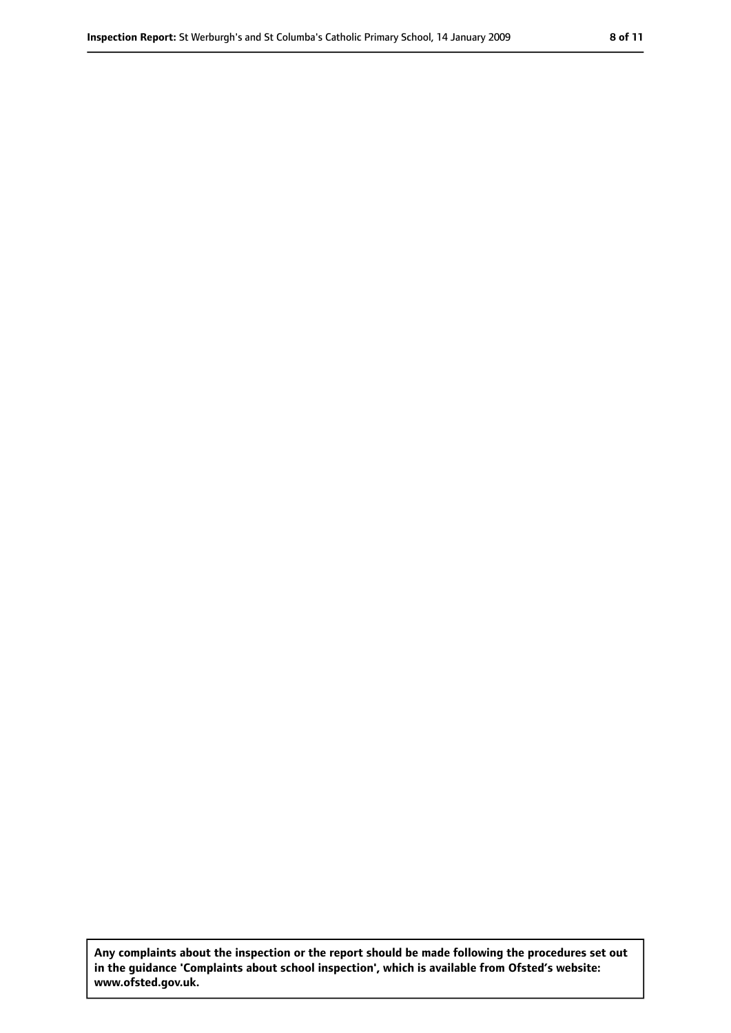**Any complaints about the inspection or the report should be made following the procedures set out in the guidance 'Complaints about school inspection', which is available from Ofsted's website: www.ofsted.gov.uk.**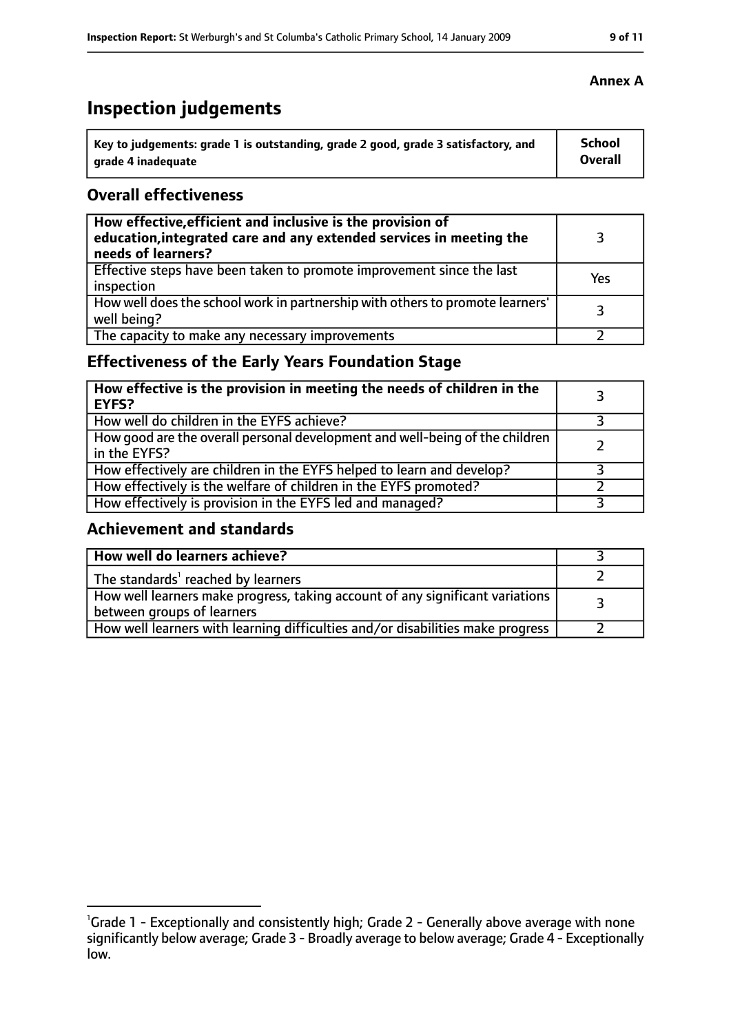## **Inspection judgements**

| Key to judgements: grade 1 is outstanding, grade 2 good, grade 3 satisfactory, and | <b>School</b>  |
|------------------------------------------------------------------------------------|----------------|
| arade 4 inadequate                                                                 | <b>Overall</b> |

## **Overall effectiveness**

| How effective, efficient and inclusive is the provision of<br>education, integrated care and any extended services in meeting the<br>needs of learners? |     |
|---------------------------------------------------------------------------------------------------------------------------------------------------------|-----|
| Effective steps have been taken to promote improvement since the last<br>inspection                                                                     | Yes |
| How well does the school work in partnership with others to promote learners'<br>well being?                                                            | २   |
| The capacity to make any necessary improvements                                                                                                         |     |

## **Effectiveness of the Early Years Foundation Stage**

| How effective is the provision in meeting the needs of children in the<br><b>EYFS?</b>       |  |
|----------------------------------------------------------------------------------------------|--|
| How well do children in the EYFS achieve?                                                    |  |
| How good are the overall personal development and well-being of the children<br>in the EYFS? |  |
| How effectively are children in the EYFS helped to learn and develop?                        |  |
| How effectively is the welfare of children in the EYFS promoted?                             |  |
| How effectively is provision in the EYFS led and managed?                                    |  |

## **Achievement and standards**

| How well do learners achieve?                                                  |  |
|--------------------------------------------------------------------------------|--|
| The standards <sup>1</sup> reached by learners                                 |  |
| How well learners make progress, taking account of any significant variations  |  |
| between groups of learners                                                     |  |
| How well learners with learning difficulties and/or disabilities make progress |  |

#### **Annex A**

<sup>&</sup>lt;sup>1</sup>Grade 1 - Exceptionally and consistently high; Grade 2 - Generally above average with none significantly below average; Grade 3 - Broadly average to below average; Grade 4 - Exceptionally low.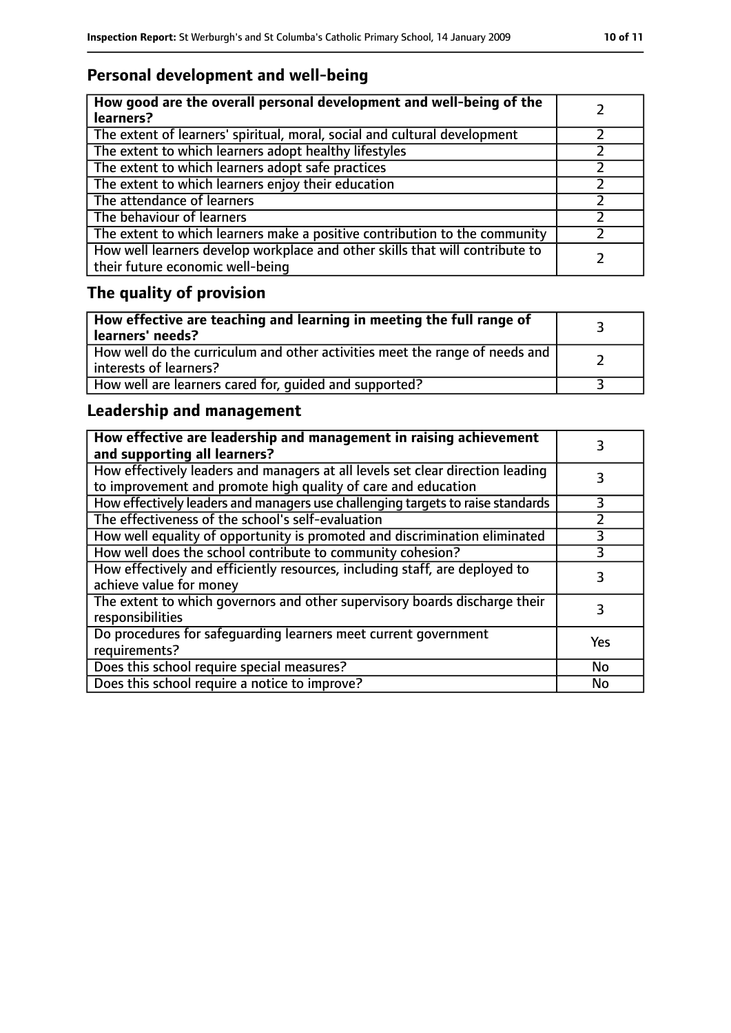## **Personal development and well-being**

| How good are the overall personal development and well-being of the<br>learners?                                 |  |
|------------------------------------------------------------------------------------------------------------------|--|
| The extent of learners' spiritual, moral, social and cultural development                                        |  |
| The extent to which learners adopt healthy lifestyles                                                            |  |
| The extent to which learners adopt safe practices                                                                |  |
| The extent to which learners enjoy their education                                                               |  |
| The attendance of learners                                                                                       |  |
| The behaviour of learners                                                                                        |  |
| The extent to which learners make a positive contribution to the community                                       |  |
| How well learners develop workplace and other skills that will contribute to<br>their future economic well-being |  |

## **The quality of provision**

| $\mid$ How effective are teaching and learning in meeting the full range of<br>  learners' needs?       |  |
|---------------------------------------------------------------------------------------------------------|--|
| How well do the curriculum and other activities meet the range of needs and<br>  interests of learners? |  |
| How well are learners cared for, quided and supported?                                                  |  |

## **Leadership and management**

| How effective are leadership and management in raising achievement<br>and supporting all learners?                                              |               |
|-------------------------------------------------------------------------------------------------------------------------------------------------|---------------|
| How effectively leaders and managers at all levels set clear direction leading<br>to improvement and promote high quality of care and education |               |
| How effectively leaders and managers use challenging targets to raise standards                                                                 | 3             |
| The effectiveness of the school's self-evaluation                                                                                               | $\mathcal{P}$ |
| How well equality of opportunity is promoted and discrimination eliminated                                                                      | 3             |
| How well does the school contribute to community cohesion?                                                                                      | 3             |
| How effectively and efficiently resources, including staff, are deployed to<br>achieve value for money                                          |               |
| The extent to which governors and other supervisory boards discharge their<br>responsibilities                                                  | 3             |
| Do procedures for safequarding learners meet current government<br>requirements?                                                                | Yes           |
| Does this school require special measures?                                                                                                      | No            |
| Does this school require a notice to improve?                                                                                                   | No            |